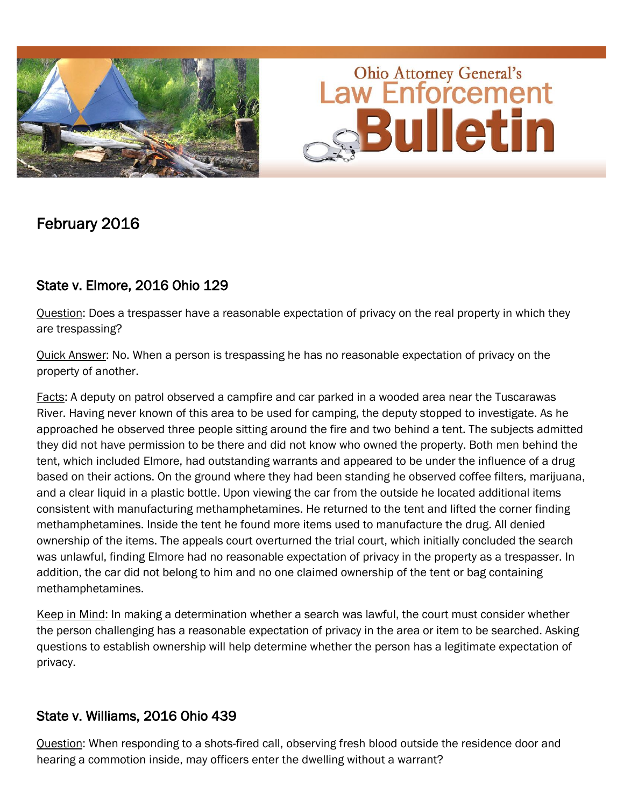



# February 2016

## State v. Elmore, 2016 Ohio 129

Question: Does a trespasser have a reasonable expectation of privacy on the real property in which they are trespassing?

Quick Answer: No. When a person is trespassing he has no reasonable expectation of privacy on the property of another.

Facts: A deputy on patrol observed a campfire and car parked in a wooded area near the Tuscarawas River. Having never known of this area to be used for camping, the deputy stopped to investigate. As he approached he observed three people sitting around the fire and two behind a tent. The subjects admitted they did not have permission to be there and did not know who owned the property. Both men behind the tent, which included Elmore, had outstanding warrants and appeared to be under the influence of a drug based on their actions. On the ground where they had been standing he observed coffee filters, marijuana, and a clear liquid in a plastic bottle. Upon viewing the car from the outside he located additional items consistent with manufacturing methamphetamines. He returned to the tent and lifted the corner finding methamphetamines. Inside the tent he found more items used to manufacture the drug. All denied ownership of the items. The appeals court overturned the trial court, which initially concluded the search was unlawful, finding Elmore had no reasonable expectation of privacy in the property as a trespasser. In addition, the car did not belong to him and no one claimed ownership of the tent or bag containing methamphetamines.

Keep in Mind: In making a determination whether a search was lawful, the court must consider whether the person challenging has a reasonable expectation of privacy in the area or item to be searched. Asking questions to establish ownership will help determine whether the person has a legitimate expectation of privacy.

#### State v. Williams, 2016 Ohio 439

Question: When responding to a shots-fired call, observing fresh blood outside the residence door and hearing a commotion inside, may officers enter the dwelling without a warrant?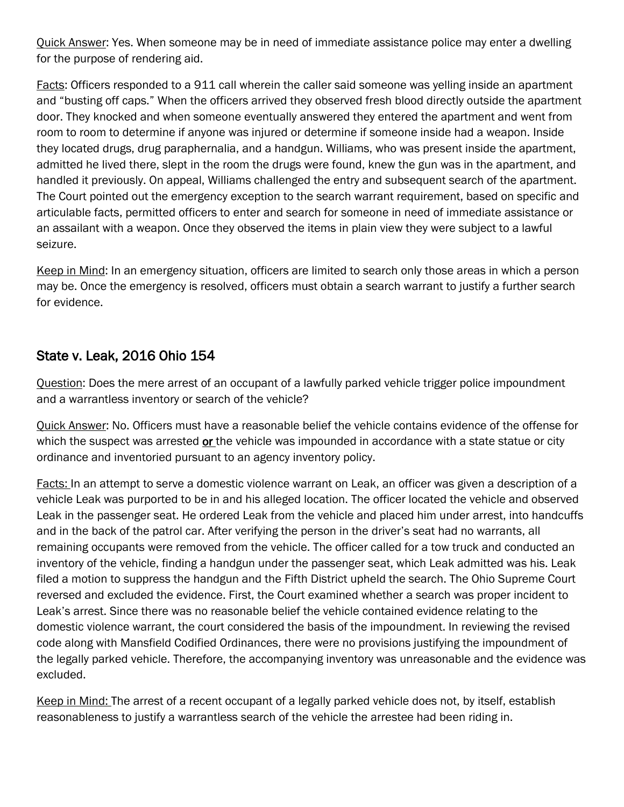Quick Answer: Yes. When someone may be in need of immediate assistance police may enter a dwelling for the purpose of rendering aid.

Facts: Officers responded to a 911 call wherein the caller said someone was yelling inside an apartment and "busting off caps." When the officers arrived they observed fresh blood directly outside the apartment door. They knocked and when someone eventually answered they entered the apartment and went from room to room to determine if anyone was injured or determine if someone inside had a weapon. Inside they located drugs, drug paraphernalia, and a handgun. Williams, who was present inside the apartment, admitted he lived there, slept in the room the drugs were found, knew the gun was in the apartment, and handled it previously. On appeal, Williams challenged the entry and subsequent search of the apartment. The Court pointed out the emergency exception to the search warrant requirement, based on specific and articulable facts, permitted officers to enter and search for someone in need of immediate assistance or an assailant with a weapon. Once they observed the items in plain view they were subject to a lawful seizure.

Keep in Mind: In an emergency situation, officers are limited to search only those areas in which a person may be. Once the emergency is resolved, officers must obtain a search warrant to justify a further search for evidence.

### State v. Leak, 2016 Ohio 154

Question: Does the mere arrest of an occupant of a lawfully parked vehicle trigger police impoundment and a warrantless inventory or search of the vehicle?

Quick Answer: No. Officers must have a reasonable belief the vehicle contains evidence of the offense for which the suspect was arrested or the vehicle was impounded in accordance with a state statue or city ordinance and inventoried pursuant to an agency inventory policy.

Facts: In an attempt to serve a domestic violence warrant on Leak, an officer was given a description of a vehicle Leak was purported to be in and his alleged location. The officer located the vehicle and observed Leak in the passenger seat. He ordered Leak from the vehicle and placed him under arrest, into handcuffs and in the back of the patrol car. After verifying the person in the driver's seat had no warrants, all remaining occupants were removed from the vehicle. The officer called for a tow truck and conducted an inventory of the vehicle, finding a handgun under the passenger seat, which Leak admitted was his. Leak filed a motion to suppress the handgun and the Fifth District upheld the search. The Ohio Supreme Court reversed and excluded the evidence. First, the Court examined whether a search was proper incident to Leak's arrest. Since there was no reasonable belief the vehicle contained evidence relating to the domestic violence warrant, the court considered the basis of the impoundment. In reviewing the revised code along with Mansfield Codified Ordinances, there were no provisions justifying the impoundment of the legally parked vehicle. Therefore, the accompanying inventory was unreasonable and the evidence was excluded.

Keep in Mind: The arrest of a recent occupant of a legally parked vehicle does not, by itself, establish reasonableness to justify a warrantless search of the vehicle the arrestee had been riding in.